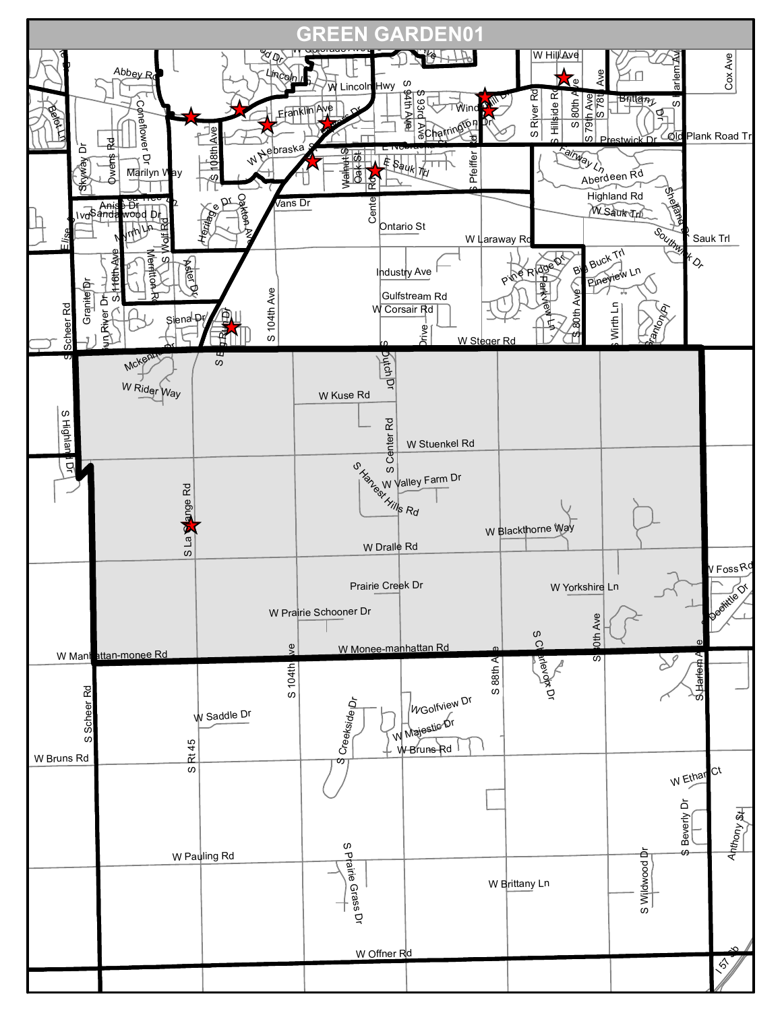